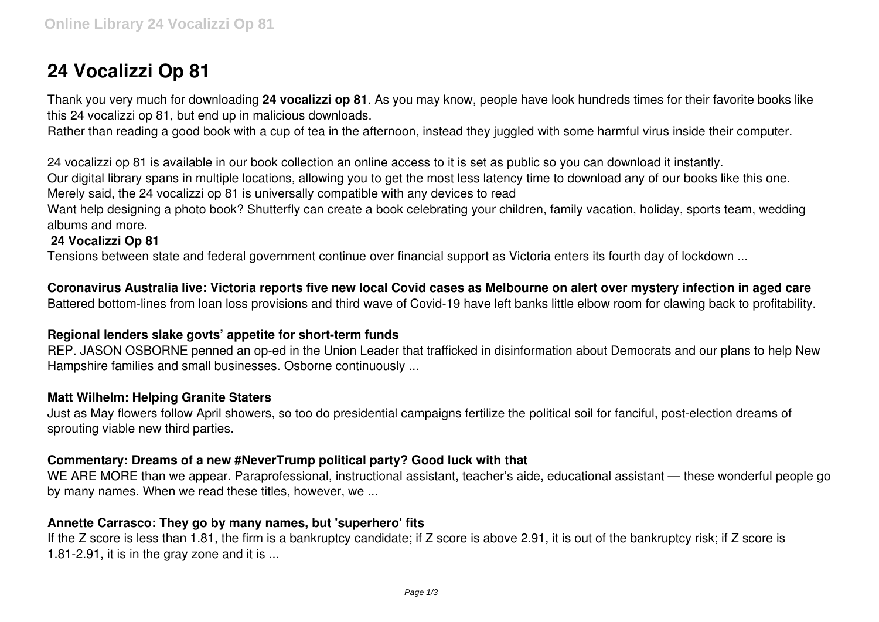# **24 Vocalizzi Op 81**

Thank you very much for downloading **24 vocalizzi op 81**. As you may know, people have look hundreds times for their favorite books like this 24 vocalizzi op 81, but end up in malicious downloads.

Rather than reading a good book with a cup of tea in the afternoon, instead they juggled with some harmful virus inside their computer.

24 vocalizzi op 81 is available in our book collection an online access to it is set as public so you can download it instantly.

Our digital library spans in multiple locations, allowing you to get the most less latency time to download any of our books like this one. Merely said, the 24 vocalizzi op 81 is universally compatible with any devices to read

Want help designing a photo book? Shutterfly can create a book celebrating your children, family vacation, holiday, sports team, wedding albums and more.

## **24 Vocalizzi Op 81**

Tensions between state and federal government continue over financial support as Victoria enters its fourth day of lockdown ...

**Coronavirus Australia live: Victoria reports five new local Covid cases as Melbourne on alert over mystery infection in aged care** Battered bottom-lines from loan loss provisions and third wave of Covid-19 have left banks little elbow room for clawing back to profitability.

### **Regional lenders slake govts' appetite for short-term funds**

REP. JASON OSBORNE penned an op-ed in the Union Leader that trafficked in disinformation about Democrats and our plans to help New Hampshire families and small businesses. Osborne continuously ...

### **Matt Wilhelm: Helping Granite Staters**

Just as May flowers follow April showers, so too do presidential campaigns fertilize the political soil for fanciful, post-election dreams of sprouting viable new third parties.

### **Commentary: Dreams of a new #NeverTrump political party? Good luck with that**

WE ARE MORE than we appear. Paraprofessional, instructional assistant, teacher's aide, educational assistant — these wonderful people go by many names. When we read these titles, however, we ...

### **Annette Carrasco: They go by many names, but 'superhero' fits**

If the Z score is less than 1.81, the firm is a bankruptcy candidate; if Z score is above 2.91, it is out of the bankruptcy risk; if Z score is 1.81-2.91, it is in the gray zone and it is ...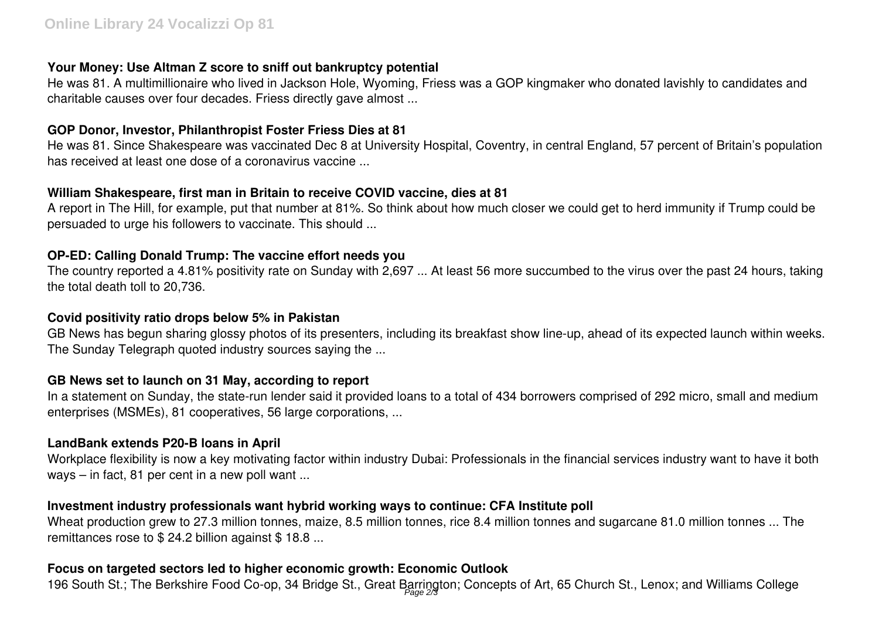# **Your Money: Use Altman Z score to sniff out bankruptcy potential**

He was 81. A multimillionaire who lived in Jackson Hole, Wyoming, Friess was a GOP kingmaker who donated lavishly to candidates and charitable causes over four decades. Friess directly gave almost ...

# **GOP Donor, Investor, Philanthropist Foster Friess Dies at 81**

He was 81. Since Shakespeare was vaccinated Dec 8 at University Hospital, Coventry, in central England, 57 percent of Britain's population has received at least one dose of a coronavirus vaccine ...

# **William Shakespeare, first man in Britain to receive COVID vaccine, dies at 81**

A report in The Hill, for example, put that number at 81%. So think about how much closer we could get to herd immunity if Trump could be persuaded to urge his followers to vaccinate. This should ...

# **OP-ED: Calling Donald Trump: The vaccine effort needs you**

The country reported a 4.81% positivity rate on Sunday with 2,697 ... At least 56 more succumbed to the virus over the past 24 hours, taking the total death toll to 20,736.

# **Covid positivity ratio drops below 5% in Pakistan**

GB News has begun sharing glossy photos of its presenters, including its breakfast show line-up, ahead of its expected launch within weeks. The Sunday Telegraph quoted industry sources saying the ...

# **GB News set to launch on 31 May, according to report**

In a statement on Sunday, the state-run lender said it provided loans to a total of 434 borrowers comprised of 292 micro, small and medium enterprises (MSMEs), 81 cooperatives, 56 large corporations, ...

# **LandBank extends P20-B loans in April**

Workplace flexibility is now a key motivating factor within industry Dubai: Professionals in the financial services industry want to have it both ways – in fact, 81 per cent in a new poll want ...

# **Investment industry professionals want hybrid working ways to continue: CFA Institute poll**

Wheat production grew to 27.3 million tonnes, maize, 8.5 million tonnes, rice 8.4 million tonnes and sugarcane 81.0 million tonnes ... The remittances rose to \$24.2 billion against \$18.8 ...

# **Focus on targeted sectors led to higher economic growth: Economic Outlook**

196 South St.; The Berkshire Food Co-op, 34 Bridge St., Great Barrington; Concepts of Art, 65 Church St., Lenox; and Williams College